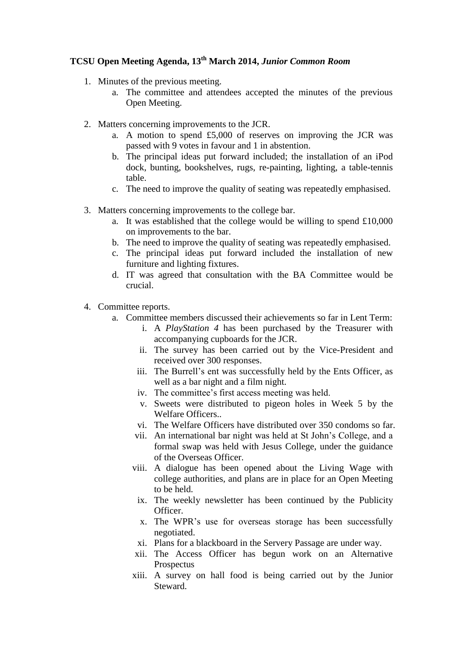## **TCSU Open Meeting Agenda, 13th March 2014,** *Junior Common Room*

- 1. Minutes of the previous meeting.
	- a. The committee and attendees accepted the minutes of the previous Open Meeting.
- 2. Matters concerning improvements to the JCR.
	- a. A motion to spend £5,000 of reserves on improving the JCR was passed with 9 votes in favour and 1 in abstention.
	- b. The principal ideas put forward included; the installation of an iPod dock, bunting, bookshelves, rugs, re-painting, lighting, a table-tennis table.
	- c. The need to improve the quality of seating was repeatedly emphasised.
- 3. Matters concerning improvements to the college bar.
	- a. It was established that the college would be willing to spend £10,000 on improvements to the bar.
	- b. The need to improve the quality of seating was repeatedly emphasised.
	- c. The principal ideas put forward included the installation of new furniture and lighting fixtures.
	- d. IT was agreed that consultation with the BA Committee would be crucial.
- 4. Committee reports.
	- a. Committee members discussed their achievements so far in Lent Term:
		- i. A *PlayStation 4* has been purchased by the Treasurer with accompanying cupboards for the JCR.
		- ii. The survey has been carried out by the Vice-President and received over 300 responses.
		- iii. The Burrell's ent was successfully held by the Ents Officer, as well as a bar night and a film night.
		- iv. The committee's first access meeting was held.
		- v. Sweets were distributed to pigeon holes in Week 5 by the Welfare Officers..
		- vi. The Welfare Officers have distributed over 350 condoms so far.
		- vii. An international bar night was held at St John's College, and a formal swap was held with Jesus College, under the guidance of the Overseas Officer.
		- viii. A dialogue has been opened about the Living Wage with college authorities, and plans are in place for an Open Meeting to be held.
			- ix. The weekly newsletter has been continued by the Publicity Officer.
			- x. The WPR's use for overseas storage has been successfully negotiated.
			- xi. Plans for a blackboard in the Servery Passage are under way.
		- xii. The Access Officer has begun work on an Alternative Prospectus
		- xiii. A survey on hall food is being carried out by the Junior Steward.